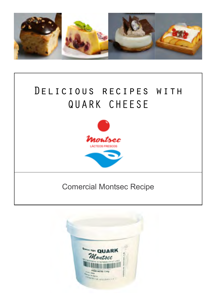

# DELICIOUS RECIPES WITH QUARK CHEESE



### **Comercial Montsec Recipe**

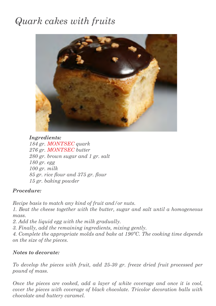## *Quark cakes with fruits*



*Ingredients: 184 gr. MONTSEC quark 276 gr. MONTSEC butter 280 gr. brown sugar and 1 gr. salt 180 gr. egg 100 gr. milk 85 gr. rice flour and 375 gr. flour 15 gr. baking powder*

### *Procedure:*

*Recipe basis to match any kind of fruit and/or nuts. 1. Beat the cheese together with the butter, sugar and salt until a homogeneous mass.*

*2. Add the liquid egg with the milk gradually.*

*3. Finally, add the remaining ingredients, mixing gently.*

*4. Complete the appropriate molds and bake at 190ºC. The cooking time depends on the size of the pieces.*

### *Notes to decorate:*

*To develop the pieces with fruit, add 25-30 gr. freeze dried fruit processed per pound of mass.*

*Once the pieces are cooked, add a layer of white coverage and once it is cool, cover the pieces with coverage of black chocolate. Tricolor decoration balls with chocolate and buttery caramel.*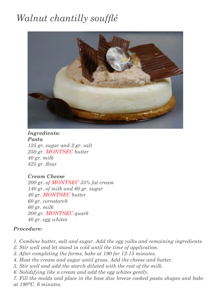## *Walnut chantilly soufflé*



#### *Ingredients: Pasta*

*125 gr. sugar and 2 gr. salt 250 gr. MONTSEC butter 40 gr. milk 425 gr. flour*

### *Cream Cheese*

*200 gr. of MONTSEC 35% fat cream 140 gr. of milk and 60 gr. sugar 40 gr. MONTSEC butter 60 gr. cornstarch 60 gr. milk 200 gr. MONTSEC quark 40 gr. egg whites*

### *Procedure:*

- *1. Combine butter, salt and sugar. Add the egg yolks and remaining ingredients.*
- *2. Stir well and let stand in cold until the time of application.*
- *3. After completing the forms, bake at 190 for 12-15 minutes.*
- *4. Heat the cream and sugar until grass. Add the cheese and butter.*
- *5. Stir well and add the starch diluted with the rest of the milk.*
- *6. Solidifying like a cream and add the egg whites gently.*
- *7. Fill the molds and place in the base disc breeze cooked pasta shapes and bake at 190°C. 6 minutes.*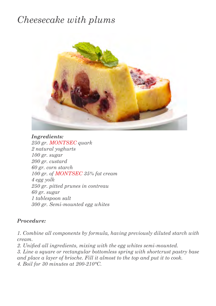### *Cheesecake with plums*



### *Ingredients:*

*250 gr. MONTSEC quark 2 natural yoghurts 100 gr. sugar 200 gr. custard 60 gr. corn starch 100 gr. of MONTSEC 35% fat cream 4 egg yolk 250 gr. pitted prunes in contreau 60 gr. sugar 1 tablespoon salt 300 gr. Semi-mounted egg whites*

### *Procedure:*

*1. Combine all components by formula, having previously diluted starch with cream.* 

*2. Unified all ingredients, mixing with the egg whites semi-mounted.* 

*3. Line a square or rectangular bottomless spring with shortcrust pastry base and place a layer of brioche. Fill it almost to the top and put it to cook.* 

*4. Boil for 30 minutes at 200-210°C.*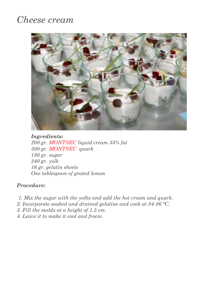### *Cheese cream*



### *Ingredients:*

*200 gr. MONTSEC liquid cream 35% fat 300 gr. MONTSEC quark 180 gr. sugar 240 gr. yolk 16 gr. gelatin sheets One tablespoon of grated lemon*

### *Procedure:*

- *1. Mix the sugar with the yolks and add the hot cream and quark.*
- *2. Incorporate soaked and drained gelatine and cook at 84-86 °C.*
- *3. Fill the molds at a height of 1.5 cm.*
- *4. Leave it to make it cool and freeze.*